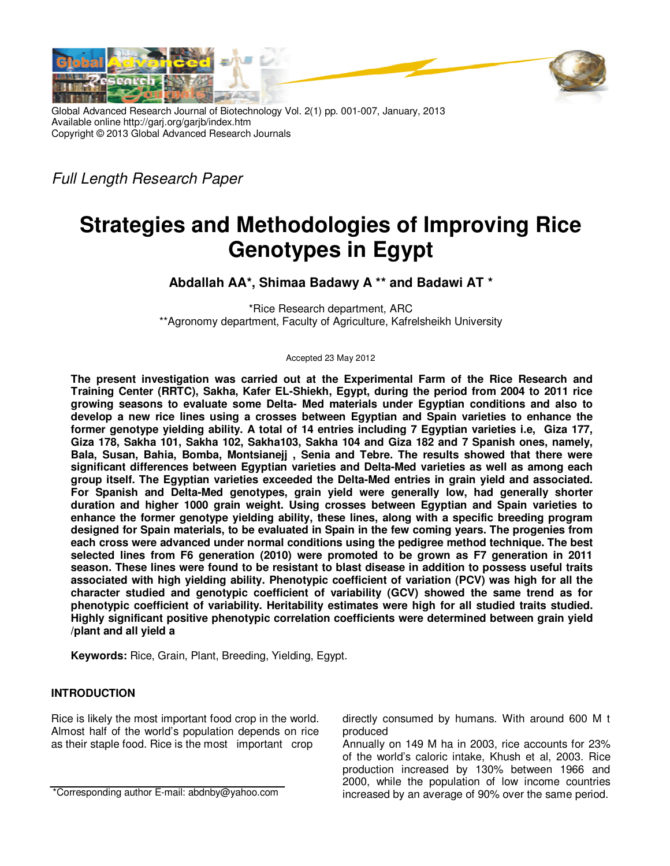

Global Advanced Research Journal of Biotechnology Vol. 2(1) pp. 001-007, January, 2013 Available online http://garj.org/garjb/index.htm Copyright © 2013 Global Advanced Research Journals

Full Length Research Paper

# **Strategies and Methodologies of Improving Rice Genotypes in Egypt**

**Abdallah AA\*, Shimaa Badawy A \*\* and Badawi AT \*** 

\*Rice Research department, ARC \*\*Agronomy department, Faculty of Agriculture, Kafrelsheikh University

Accepted 23 May 2012

**The present investigation was carried out at the Experimental Farm of the Rice Research and Training Center (RRTC), Sakha, Kafer EL-Shiekh, Egypt, during the period from 2004 to 2011 rice growing seasons to evaluate some Delta- Med materials under Egyptian conditions and also to develop a new rice lines using a crosses between Egyptian and Spain varieties to enhance the former genotype yielding ability. A total of 14 entries including 7 Egyptian varieties i.e, Giza 177, Giza 178, Sakha 101, Sakha 102, Sakha103, Sakha 104 and Giza 182 and 7 Spanish ones, namely, Bala, Susan, Bahia, Bomba, Montsianejj , Senia and Tebre. The results showed that there were significant differences between Egyptian varieties and Delta-Med varieties as well as among each group itself. The Egyptian varieties exceeded the Delta-Med entries in grain yield and associated. For Spanish and Delta-Med genotypes, grain yield were generally low, had generally shorter duration and higher 1000 grain weight. Using crosses between Egyptian and Spain varieties to enhance the former genotype yielding ability, these lines, along with a specific breeding program designed for Spain materials, to be evaluated in Spain in the few coming years. The progenies from each cross were advanced under normal conditions using the pedigree method technique. The best selected lines from F6 generation (2010) were promoted to be grown as F7 generation in 2011 season. These lines were found to be resistant to blast disease in addition to possess useful traits associated with high yielding ability. Phenotypic coefficient of variation (PCV) was high for all the character studied and genotypic coefficient of variability (GCV) showed the same trend as for phenotypic coefficient of variability. Heritability estimates were high for all studied traits studied. Highly significant positive phenotypic correlation coefficients were determined between grain yield /plant and all yield a** 

**Keywords:** Rice, Grain, Plant, Breeding, Yielding, Egypt.

 $\overline{a}$ 

## **INTRODUCTION**

Rice is likely the most important food crop in the world. Almost half of the world's population depends on rice as their staple food. Rice is the most important crop

directly consumed by humans. With around 600 M t produced

Annually on 149 M ha in 2003, rice accounts for 23% of the world's caloric intake, Khush et al, 2003. Rice production increased by 130% between 1966 and 2000, while the population of low income countries increased by an average of 90% over the same period.

<sup>\*</sup>Corresponding author E-mail: abdnby@yahoo.com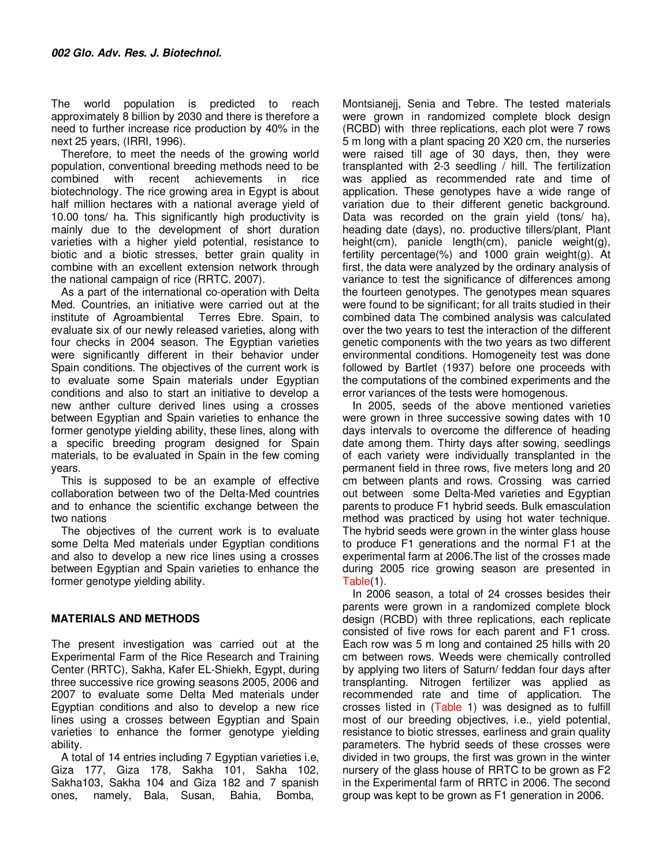The world population is predicted to reach approximately 8 billion by 2030 and there is therefore a need to further increase rice production by 40% in the next 25 years, (IRRI, 1996).

Therefore, to meet the needs of the growing world population, conventional breeding methods need to be combined with recent achievements in rice biotechnology. The rice growing area in Egypt is about half million hectares with a national average yield of 10.00 tons/ ha. This significantly high productivity is mainly due to the development of short duration varieties with a higher yield potential, resistance to biotic and a biotic stresses, better grain quality in combine with an excellent extension network through the national campaign of rice (RRTC. 2007).

As a part of the international co-operation with Delta Med. Countries, an initiative were carried out at the institute of Agroambiental Terres Ebre. Spain, to evaluate six of our newly released varieties, along with four checks in 2004 season. The Egyptian varieties were significantly different in their behavior under Spain conditions. The objectives of the current work is to evaluate some Spain materials under Egyptian conditions and also to start an initiative to develop a new anther culture derived lines using a crosses between Egyptian and Spain varieties to enhance the former genotype yielding ability, these lines, along with a specific breeding program designed for Spain materials, to be evaluated in Spain in the few coming years.

This is supposed to be an example of effective collaboration between two of the Delta-Med countries and to enhance the scientific exchange between the two nations

The objectives of the current work is to evaluate some Delta Med materials under Egyptian conditions and also to develop a new rice lines using a crosses between Egyptian and Spain varieties to enhance the former genotype yielding ability.

## **MATERIALS AND METHODS**

The present investigation was carried out at the Experimental Farm of the Rice Research and Training Center (RRTC), Sakha, Kafer EL-Shiekh, Egypt, during three successive rice growing seasons 2005, 2006 and 2007 to evaluate some Delta Med materials under Egyptian conditions and also to develop a new rice lines using a crosses between Egyptian and Spain varieties to enhance the former genotype yielding ability.

A total of 14 entries including 7 Egyptian varieties i.e, Giza 177, Giza 178, Sakha 101, Sakha 102, Sakha103, Sakha 104 and Giza 182 and 7 spanish ones, namely, Bala, Susan, Bahia, Bomba,

Montsianejj, Senia and Tebre. The tested materials were grown in randomized complete block design (RCBD) with three replications, each plot were 7 rows 5 m long with a plant spacing 20 X20 cm, the nurseries were raised till age of 30 days, then, they were transplanted with 2-3 seedling / hill. The fertilization was applied as recommended rate and time of application. These genotypes have a wide range of variation due to their different genetic background. Data was recorded on the grain yield (tons/ ha), heading date (days), no. productive tillers/plant, Plant height(cm), panicle length(cm), panicle weight(g), fertility percentage(%) and 1000 grain weight(g). At first, the data were analyzed by the ordinary analysis of variance to test the significance of differences among the fourteen genotypes. The genotypes mean squares were found to be significant; for all traits studied in their combined data The combined analysis was calculated over the two years to test the interaction of the different genetic components with the two years as two different environmental conditions. Homogeneity test was done followed by Bartlet (1937) before one proceeds with the computations of the combined experiments and the error variances of the tests were homogenous.

In 2005, seeds of the above mentioned varieties were grown in three successive sowing dates with 10 days intervals to overcome the difference of heading date among them. Thirty days after sowing, seedlings of each variety were individually transplanted in the permanent field in three rows, five meters long and 20 cm between plants and rows. Crossing was carried out between some Delta-Med varieties and Egyptian parents to produce F1 hybrid seeds. Bulk emasculation method was practiced by using hot water technique. The hybrid seeds were grown in the winter glass house to produce F1 generations and the normal F1 at the experimental farm at 2006.The list of the crosses made during 2005 rice growing season are presented in Table(1).

In 2006 season, a total of 24 crosses besides their parents were grown in a randomized complete block design (RCBD) with three replications, each replicate consisted of five rows for each parent and F1 cross. Each row was 5 m long and contained 25 hills with 20 cm between rows. Weeds were chemically controlled by applying two liters of Saturn/ feddan four days after transplanting. Nitrogen fertilizer was applied as recommended rate and time of application. The crosses listed in (Table 1) was designed as to fulfill most of our breeding objectives, i.e., yield potential, resistance to biotic stresses, earliness and grain quality parameters. The hybrid seeds of these crosses were divided in two groups, the first was grown in the winter nursery of the glass house of RRTC to be grown as F2 in the Experimental farm of RRTC in 2006. The second group was kept to be grown as F1 generation in 2006.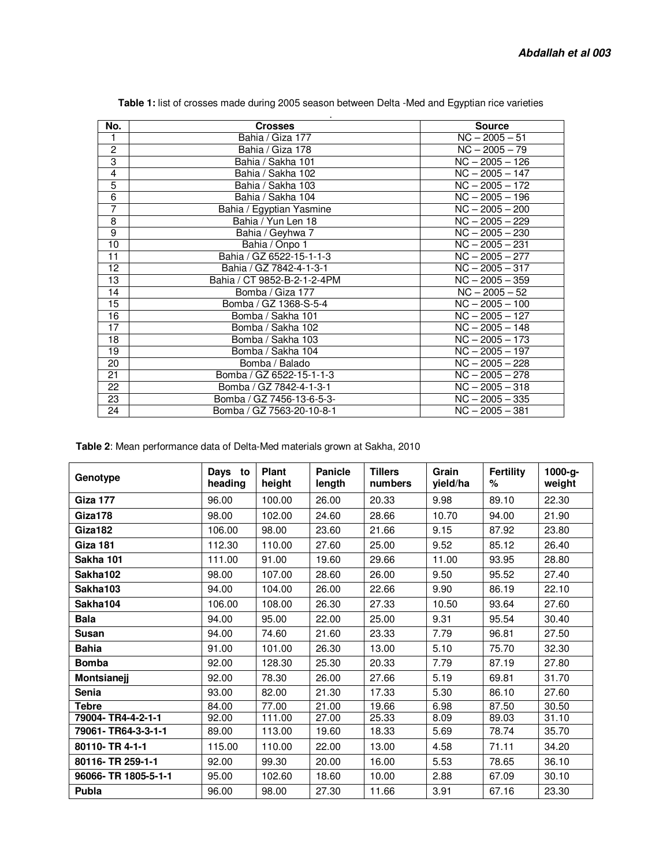| No.             | <b>Crosses</b>              | <b>Source</b>                |
|-----------------|-----------------------------|------------------------------|
| 1               | Bahia / Giza 177            | $NC - 2005 - 51$             |
| $\overline{c}$  | Bahia / Giza 178            | $NC - 2005 - 79$             |
| 3               | Bahia / Sakha 101           | $NC - 2005 - 126$            |
| $\overline{4}$  | Bahia / Sakha 102           | $NC - 2005 - 147$            |
| $\overline{5}$  | Bahia / Sakha 103           | $NC - 2005 - 172$            |
| 6               | Bahia / Sakha 104           | $NC - 2005 - 196$            |
| 7               | Bahia / Egyptian Yasmine    | $\overline{NC} - 2005 - 200$ |
| 8               | Bahia / Yun Len 18          | $NC - 2005 - 229$            |
| $\overline{9}$  | Bahia / Geyhwa 7            | $NC - 2005 - 230$            |
| 10              | Bahia / Onpo 1              | $NC - 2005 - 231$            |
| 11              | Bahia / GZ 6522-15-1-1-3    | $NC - 2005 - 277$            |
| 12              | Bahia / GZ 7842-4-1-3-1     | $NC - 2005 - 317$            |
| $\overline{13}$ | Bahia / CT 9852-B-2-1-2-4PM | $NC - 2005 - 359$            |
| 14              | Bomba / Giza 177            | $NC - 2005 - 52$             |
| 15              | Bomba / GZ 1368-S-5-4       | $NC - 2005 - 100$            |
| 16              | Bomba / Sakha 101           | $NC - 2005 - 127$            |
| 17              | Bomba / Sakha 102           | $NC - 2005 - 148$            |
| $\overline{18}$ | Bomba / Sakha 103           | $\overline{NC}$ - 2005 - 173 |
| $\overline{19}$ | Bomba / Sakha 104           | $NC - 2005 - 197$            |
| 20              | Bomba / Balado              | $NC - 2005 - 228$            |
| 21              | Bomba / GZ 6522-15-1-1-3    | $NC - 2005 - 278$            |
| 22              | Bomba / GZ 7842-4-1-3-1     | $NC - 2005 - 318$            |
| 23              | Bomba / GZ 7456-13-6-5-3-   | $NC - 2005 - 335$            |
| 24              | Bomba / GZ 7563-20-10-8-1   | $NC - 2005 - 381$            |

**Table 1:** list of crosses made during 2005 season between Delta -Med and Egyptian rice varieties

**Table 2**: Mean performance data of Delta-Med materials grown at Sakha, 2010

| Genotype             | Days to<br>heading | Plant<br>height | <b>Panicle</b><br>length | <b>Tillers</b><br>numbers | Grain<br>yield/ha | <b>Fertility</b><br>% | 1000-g-<br>weight |
|----------------------|--------------------|-----------------|--------------------------|---------------------------|-------------------|-----------------------|-------------------|
| <b>Giza 177</b>      | 96.00              | 100.00          | 26.00                    | 20.33                     | 9.98              | 89.10                 | 22.30             |
| Giza178              | 98.00              | 102.00          | 24.60                    | 28.66                     | 10.70             | 94.00                 | 21.90             |
| Giza182              | 106.00             | 98.00           | 23.60                    | 21.66                     | 9.15              | 87.92                 | 23.80             |
| Giza 181             | 112.30             | 110.00          | 27.60                    | 25.00                     | 9.52              | 85.12                 | 26.40             |
| Sakha 101            | 111.00             | 91.00           | 19.60                    | 29.66                     | 11.00             | 93.95                 | 28.80             |
| Sakha102             | 98.00              | 107.00          | 28.60                    | 26.00                     | 9.50              | 95.52                 | 27.40             |
| Sakha103             | 94.00              | 104.00          | 26.00                    | 22.66                     | 9.90              | 86.19                 | 22.10             |
| Sakha104             | 106.00             | 108.00          | 26.30                    | 27.33                     | 10.50             | 93.64                 | 27.60             |
| <b>Bala</b>          | 94.00              | 95.00           | 22.00                    | 25.00                     | 9.31              | 95.54                 | 30.40             |
| Susan                | 94.00              | 74.60           | 21.60                    | 23.33                     | 7.79              | 96.81                 | 27.50             |
| <b>Bahia</b>         | 91.00              | 101.00          | 26.30                    | 13.00                     | 5.10              | 75.70                 | 32.30             |
| <b>Bomba</b>         | 92.00              | 128.30          | 25.30                    | 20.33                     | 7.79              | 87.19                 | 27.80             |
| Montsianejj          | 92.00              | 78.30           | 26.00                    | 27.66                     | 5.19              | 69.81                 | 31.70             |
| Senia                | 93.00              | 82.00           | 21.30                    | 17.33                     | 5.30              | 86.10                 | 27.60             |
| Tebre                | 84.00              | 77.00           | 21.00                    | 19.66                     | 6.98              | 87.50                 | 30.50             |
| 79004-TR4-4-2-1-1    | 92.00              | 111.00          | 27.00                    | 25.33                     | 8.09              | 89.03                 | 31.10             |
| 79061-TR64-3-3-1-1   | 89.00              | 113.00          | 19.60                    | 18.33                     | 5.69              | 78.74                 | 35.70             |
| 80110-TR4-1-1        | 115.00             | 110.00          | 22.00                    | 13.00                     | 4.58              | 71.11                 | 34.20             |
| 80116-TR 259-1-1     | 92.00              | 99.30           | 20.00                    | 16.00                     | 5.53              | 78.65                 | 36.10             |
| 96066- TR 1805-5-1-1 | 95.00              | 102.60          | 18.60                    | 10.00                     | 2.88              | 67.09                 | 30.10             |
| Publa                | 96.00              | 98.00           | 27.30                    | 11.66                     | 3.91              | 67.16                 | 23.30             |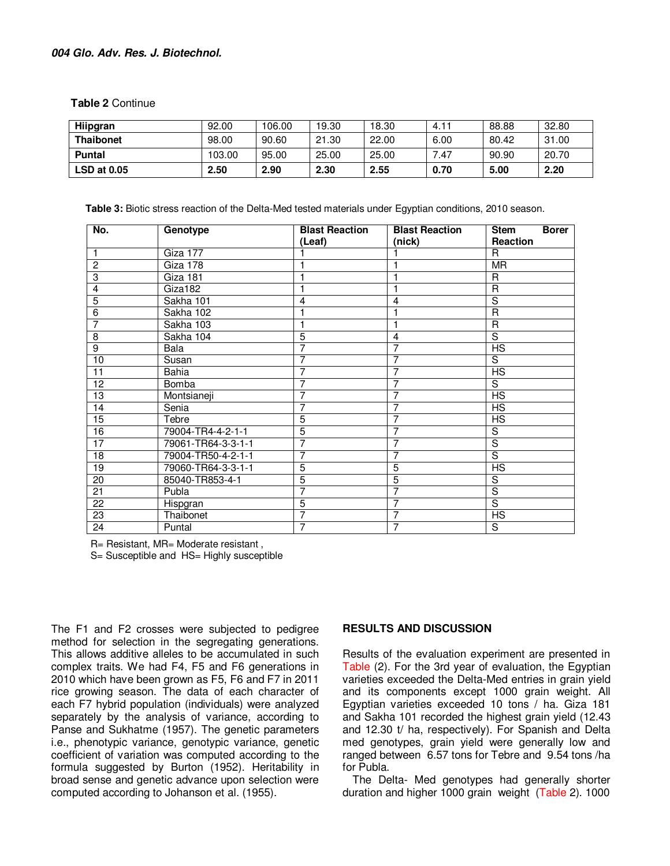## **004 Glo. Adv. Res. J. Biotechnol.**

**Table 2** Continue

| Hiipgran           | 92.00  | 106.00 | 19.30 | 18.30 | 4.11 | 88.88 | 32.80 |
|--------------------|--------|--------|-------|-------|------|-------|-------|
| <b>Thaibonet</b>   | 98.00  | 90.60  | 21.30 | 22.00 | 6.00 | 80.42 | 31.00 |
| <b>Puntal</b>      | 103.00 | 95.00  | 25.00 | 25.00 | 7.47 | 90.90 | 20.70 |
| <b>LSD at 0.05</b> | 2.50   | 2.90   | 2.30  | 2.55  | 0.70 | 5.00  | 2.20  |

**Table 3:** Biotic stress reaction of the Delta-Med tested materials under Egyptian conditions, 2010 season.

| No.             | Genotype           | <b>Blast Reaction</b> | <b>Blast Reaction</b> | <b>Borer</b><br><b>Stem</b> |
|-----------------|--------------------|-----------------------|-----------------------|-----------------------------|
|                 |                    | (Leaf)                | (nick)                | Reaction                    |
| $\mathbf{1}$    | Giza 177           |                       |                       | R                           |
| $\overline{2}$  | Giza 178           |                       |                       | <b>MR</b>                   |
| 3               | Giza 181           |                       |                       | $\mathsf{R}$                |
| $\overline{4}$  | Giza182            |                       |                       | R                           |
| $\overline{5}$  | Sakha 101          | $\overline{4}$        | 4                     | $\overline{s}$              |
| 6               | Sakha 102          |                       | 1                     | R                           |
| $\overline{7}$  | Sakha 103          | 1                     | 1                     | R                           |
| $\overline{8}$  | Sakha 104          | 5                     | 4                     | S                           |
| $\overline{9}$  | Bala               | 7                     | 7                     | <b>HS</b>                   |
| 10              | Susan              | 7                     | 7                     | S                           |
| 11              | Bahia              | 7                     | 7                     | <b>HS</b>                   |
| 12              | Bomba              | 7                     | $\overline{7}$        | S                           |
| 13              | Montsianeji        | 7                     | 7                     | <b>HS</b>                   |
| 14              | Senia              | 7                     | 7                     | <b>HS</b>                   |
| 15              | Tebre              | 5                     | $\overline{7}$        | <b>HS</b>                   |
| 16              | 79004-TR4-4-2-1-1  | 5                     | 7                     | S                           |
| $\overline{17}$ | 79061-TR64-3-3-1-1 | 7                     | 7                     | $\overline{s}$              |
| 18              | 79004-TR50-4-2-1-1 | 7                     | 7                     | $\overline{s}$              |
| 19              | 79060-TR64-3-3-1-1 | 5                     | 5                     | $\overline{HS}$             |
| 20              | 85040-TR853-4-1    | $\overline{5}$        | 5                     | S                           |
| 21              | Publa              | 7                     | 7                     | $\overline{s}$              |
| 22              | Hispgran           | 5                     | $\overline{7}$        | $\overline{s}$              |
| 23              | Thaibonet          | 7                     | 7                     | <b>HS</b>                   |
| 24              | Puntal             | 7                     | 7                     | S                           |

R= Resistant, MR= Moderate resistant ,

S= Susceptible and HS= Highly susceptible

The F1 and F2 crosses were subjected to pedigree method for selection in the segregating generations. This allows additive alleles to be accumulated in such complex traits. We had F4, F5 and F6 generations in 2010 which have been grown as F5, F6 and F7 in 2011 rice growing season. The data of each character of each F7 hybrid population (individuals) were analyzed separately by the analysis of variance, according to Panse and Sukhatme (1957). The genetic parameters i.e., phenotypic variance, genotypic variance, genetic coefficient of variation was computed according to the formula suggested by Burton (1952). Heritability in broad sense and genetic advance upon selection were computed according to Johanson et al. (1955).

### **RESULTS AND DISCUSSION**

Results of the evaluation experiment are presented in Table (2). For the 3rd year of evaluation, the Egyptian varieties exceeded the Delta-Med entries in grain yield and its components except 1000 grain weight. All Egyptian varieties exceeded 10 tons / ha. Giza 181 and Sakha 101 recorded the highest grain yield (12.43 and 12.30 t/ ha, respectively). For Spanish and Delta med genotypes, grain yield were generally low and ranged between 6.57 tons for Tebre and 9.54 tons /ha for Publa.

The Delta- Med genotypes had generally shorter duration and higher 1000 grain weight (Table 2). 1000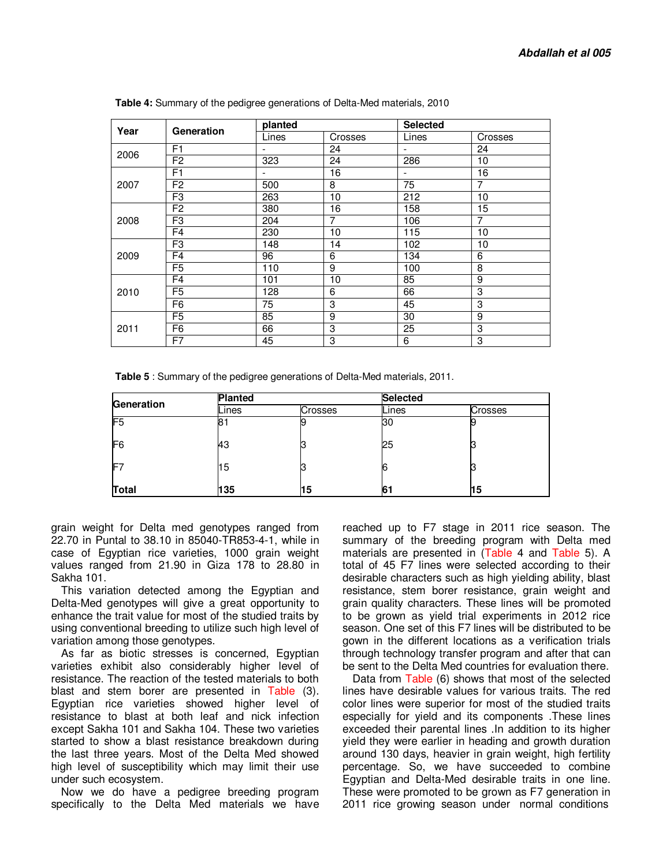| Year | Generation     | planted                  |                | <b>Selected</b>          |                |
|------|----------------|--------------------------|----------------|--------------------------|----------------|
|      |                | Lines                    | Crosses        | Lines                    | Crosses        |
|      | F <sub>1</sub> | $\overline{\phantom{a}}$ | 24             | $\blacksquare$           | 24             |
| 2006 | F <sub>2</sub> | 323                      | 24             | 286                      | 10             |
|      | F <sub>1</sub> | $\overline{\phantom{a}}$ | 16             | $\overline{\phantom{a}}$ | 16             |
| 2007 | F <sub>2</sub> | 500                      | 8              | 75                       | $\overline{7}$ |
|      | F <sub>3</sub> | 263                      | 10             | 212                      | 10             |
|      | F <sub>2</sub> | 380                      | 16             | 158                      | 15             |
| 2008 | F <sub>3</sub> | 204                      | $\overline{7}$ | 106                      | 7              |
|      | F <sub>4</sub> | 230                      | 10             | 115                      | 10             |
|      | F <sub>3</sub> | 148                      | 14             | 102                      | 10             |
| 2009 | F <sub>4</sub> | 96                       | 6              | 134                      | 6              |
|      | F <sub>5</sub> | 110                      | 9              | 100                      | 8              |
|      | F <sub>4</sub> | 101                      | 10             | 85                       | 9              |
| 2010 | F <sub>5</sub> | 128                      | 6              | 66                       | 3              |
|      | F <sub>6</sub> | 75                       | 3              | 45                       | 3              |
|      | F <sub>5</sub> | 85                       | 9              | 30                       | 9              |
| 2011 | F <sub>6</sub> | 66                       | 3              | 25                       | 3              |
|      | F7             | 45                       | 3              | 6                        | 3              |

**Table 4:** Summary of the pedigree generations of Delta-Med materials, 2010

**Table 5** : Summary of the pedigree generations of Delta-Med materials, 2011.

| Generation     | <b>Planted</b> |         | <b>Selected</b> |         |  |
|----------------|----------------|---------|-----------------|---------|--|
|                | Lines          | Crosses | Lines           | Crosses |  |
| F5             | 81             |         | 30              | 9       |  |
| F <sub>6</sub> | 43             |         | 25              |         |  |
| F7             | $\overline{5}$ |         | 6               |         |  |
| Total          | 135            | 15      | 6               | 15      |  |

grain weight for Delta med genotypes ranged from 22.70 in Puntal to 38.10 in 85040-TR853-4-1, while in case of Egyptian rice varieties, 1000 grain weight values ranged from 21.90 in Giza 178 to 28.80 in Sakha 101.

This variation detected among the Egyptian and Delta-Med genotypes will give a great opportunity to enhance the trait value for most of the studied traits by using conventional breeding to utilize such high level of variation among those genotypes.

As far as biotic stresses is concerned, Egyptian varieties exhibit also considerably higher level of resistance. The reaction of the tested materials to both blast and stem borer are presented in Table (3). Egyptian rice varieties showed higher level of resistance to blast at both leaf and nick infection except Sakha 101 and Sakha 104. These two varieties started to show a blast resistance breakdown during the last three years. Most of the Delta Med showed high level of susceptibility which may limit their use under such ecosystem.

Now we do have a pedigree breeding program specifically to the Delta Med materials we have reached up to F7 stage in 2011 rice season. The summary of the breeding program with Delta med materials are presented in (Table 4 and Table 5). A total of 45 F7 lines were selected according to their desirable characters such as high yielding ability, blast resistance, stem borer resistance, grain weight and grain quality characters. These lines will be promoted to be grown as yield trial experiments in 2012 rice season. One set of this F7 lines will be distributed to be gown in the different locations as a verification trials through technology transfer program and after that can be sent to the Delta Med countries for evaluation there.

Data from Table (6) shows that most of the selected lines have desirable values for various traits. The red color lines were superior for most of the studied traits especially for yield and its components .These lines exceeded their parental lines .In addition to its higher yield they were earlier in heading and growth duration around 130 days, heavier in grain weight, high fertility percentage. So, we have succeeded to combine Egyptian and Delta-Med desirable traits in one line. These were promoted to be grown as F7 generation in 2011 rice growing season under normal conditions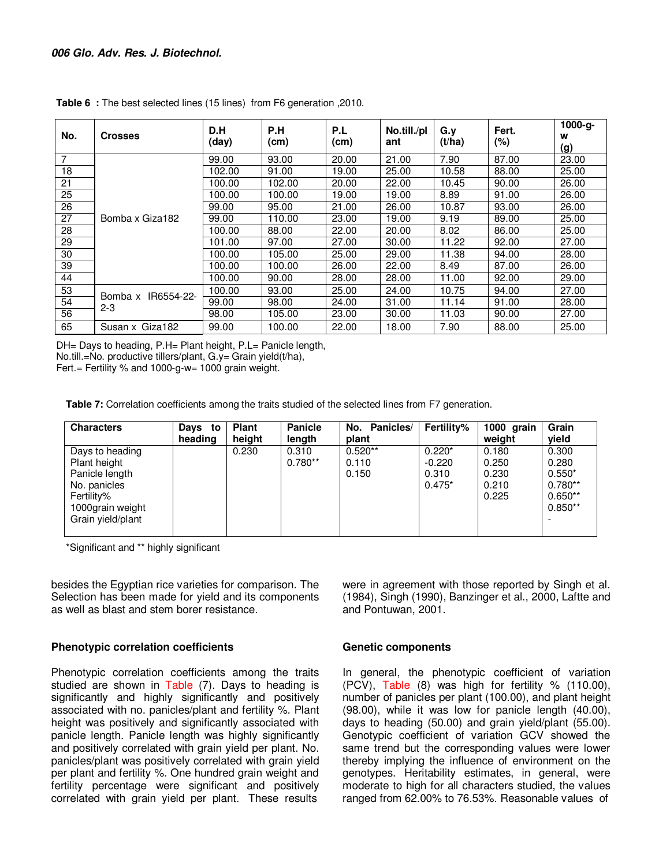| No.             | <b>Crosses</b>                   | D.H<br>(day) | P.H<br>(cm) | P.L<br>(cm) | No.till./pl<br>ant | G.y<br>(t/ha) | Fert.<br>(%) | 1000-g-<br>w<br>(g) |
|-----------------|----------------------------------|--------------|-------------|-------------|--------------------|---------------|--------------|---------------------|
| $\overline{7}$  |                                  | 99.00        | 93.00       | 20.00       | 21.00              | 7.90          | 87.00        | 23.00               |
| 18              |                                  | 102.00       | 91.00       | 19.00       | 25.00              | 10.58         | 88.00        | 25.00               |
| 21              |                                  | 100.00       | 102.00      | 20.00       | 22.00              | 10.45         | 90.00        | 26.00               |
| 25              |                                  | 100.00       | 100.00      | 19.00       | 19.00              | 8.89          | 91.00        | 26.00               |
| 26              |                                  | 99.00        | 95.00       | 21.00       | 26.00              | 10.87         | 93.00        | 26.00               |
| $\overline{27}$ | Bomba x Giza182                  | 99.00        | 110.00      | 23.00       | 19.00              | 9.19          | 89.00        | 25.00               |
| 28              |                                  | 100.00       | 88.00       | 22.00       | 20.00              | 8.02          | 86.00        | 25.00               |
| 29              |                                  | 101.00       | 97.00       | 27.00       | 30.00              | 11.22         | 92.00        | 27.00               |
| 30              |                                  | 100.00       | 105.00      | 25.00       | 29.00              | 11.38         | 94.00        | 28.00               |
| 39              |                                  | 100.00       | 100.00      | 26.00       | 22.00              | 8.49          | 87.00        | 26.00               |
| 44              |                                  | 100.00       | 90.00       | 28.00       | 28.00              | 11.00         | 92.00        | 29.00               |
| 53              |                                  | 100.00       | 93.00       | 25.00       | 24.00              | 10.75         | 94.00        | 27.00               |
| 54              | IR6554-22-<br>Bomba x<br>$2 - 3$ | 99.00        | 98.00       | 24.00       | 31.00              | 11.14         | 91.00        | 28.00               |
| 56              |                                  | 98.00        | 105.00      | 23.00       | 30.00              | 11.03         | 90.00        | 27.00               |
| 65              | Susan x Giza182                  | 99.00        | 100.00      | 22.00       | 18.00              | 7.90          | 88.00        | 25.00               |

**Table 6 :** The best selected lines (15 lines) from F6 generation ,2010.

DH= Days to heading, P.H= Plant height, P.L= Panicle length, No.till.=No. productive tillers/plant, G.y= Grain yield(t/ha),

Fert.= Fertility % and 1000-g-w= 1000 grain weight.

**Table 7:** Correlation coefficients among the traits studied of the selected lines from F7 generation.

| <b>Characters</b>                                                                                                        | Days to<br>heading | <b>Plant</b><br>height | <b>Panicle</b><br>length | No. Panicles/<br>plant      | Fertility%                                | 1000 grain<br>weight                      | Grain<br>yield                                                    |
|--------------------------------------------------------------------------------------------------------------------------|--------------------|------------------------|--------------------------|-----------------------------|-------------------------------------------|-------------------------------------------|-------------------------------------------------------------------|
| Days to heading<br>Plant height<br>Panicle length<br>No. panicles<br>Fertility%<br>1000grain weight<br>Grain yield/plant |                    | 0.230                  | 0.310<br>$0.780**$       | $0.520**$<br>0.110<br>0.150 | $0.220*$<br>$-0.220$<br>0.310<br>$0.475*$ | 0.180<br>0.250<br>0.230<br>0.210<br>0.225 | 0.300<br>0.280<br>$0.550*$<br>$0.780**$<br>$0.650**$<br>$0.850**$ |

\*Significant and \*\* highly significant

besides the Egyptian rice varieties for comparison. The Selection has been made for yield and its components as well as blast and stem borer resistance.

## **Phenotypic correlation coefficients**

Phenotypic correlation coefficients among the traits studied are shown in Table (7). Days to heading is significantly and highly significantly and positively associated with no. panicles/plant and fertility %. Plant height was positively and significantly associated with panicle length. Panicle length was highly significantly and positively correlated with grain yield per plant. No. panicles/plant was positively correlated with grain yield per plant and fertility %. One hundred grain weight and fertility percentage were significant and positively correlated with grain yield per plant. These results

were in agreement with those reported by Singh et al. (1984), Singh (1990), Banzinger et al., 2000, Laftte and and Pontuwan, 2001.

## **Genetic components**

In general, the phenotypic coefficient of variation (PCV), Table (8) was high for fertility % (110.00), number of panicles per plant (100.00), and plant height (98.00), while it was low for panicle length (40.00), days to heading (50.00) and grain yield/plant (55.00). Genotypic coefficient of variation GCV showed the same trend but the corresponding values were lower thereby implying the influence of environment on the genotypes. Heritability estimates, in general, were moderate to high for all characters studied, the values ranged from 62.00% to 76.53%. Reasonable values of